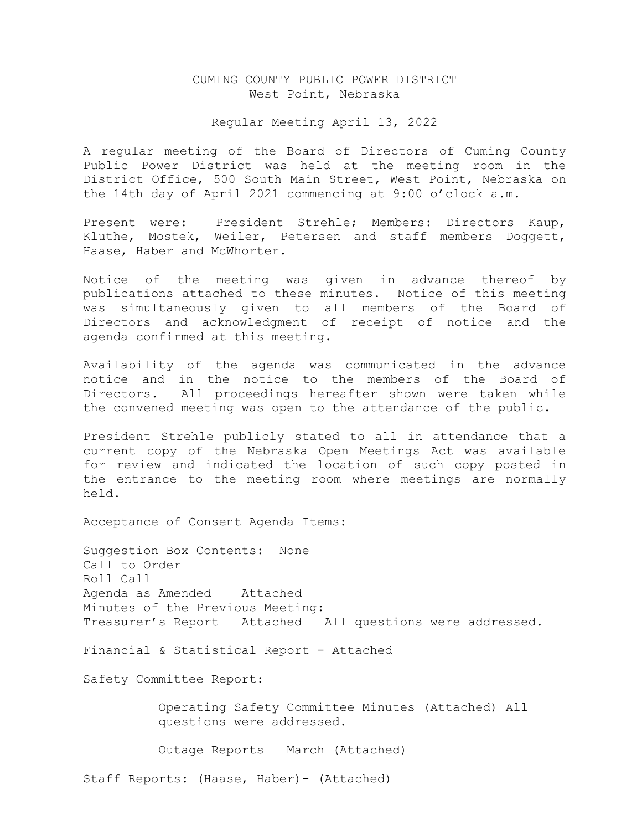# CUMING COUNTY PUBLIC POWER DISTRICT West Point, Nebraska

# Regular Meeting April 13, 2022

A regular meeting of the Board of Directors of Cuming County Public Power District was held at the meeting room in the District Office, 500 South Main Street, West Point, Nebraska on the 14th day of April 2021 commencing at 9:00 o'clock a.m.

Present were: President Strehle; Members: Directors Kaup, Kluthe, Mostek, Weiler, Petersen and staff members Doggett, Haase, Haber and McWhorter.

Notice of the meeting was given in advance thereof by publications attached to these minutes. Notice of this meeting was simultaneously given to all members of the Board of Directors and acknowledgment of receipt of notice and the agenda confirmed at this meeting.

Availability of the agenda was communicated in the advance notice and in the notice to the members of the Board of Directors. All proceedings hereafter shown were taken while the convened meeting was open to the attendance of the public.

President Strehle publicly stated to all in attendance that a current copy of the Nebraska Open Meetings Act was available for review and indicated the location of such copy posted in the entrance to the meeting room where meetings are normally held.

Acceptance of Consent Agenda Items:

Suggestion Box Contents: None Call to Order Roll Call Agenda as Amended – Attached Minutes of the Previous Meeting: Treasurer's Report – Attached – All questions were addressed.

Financial & Statistical Report - Attached

Safety Committee Report:

 Operating Safety Committee Minutes (Attached) All questions were addressed.

Outage Reports – March (Attached)

Staff Reports: (Haase, Haber)- (Attached)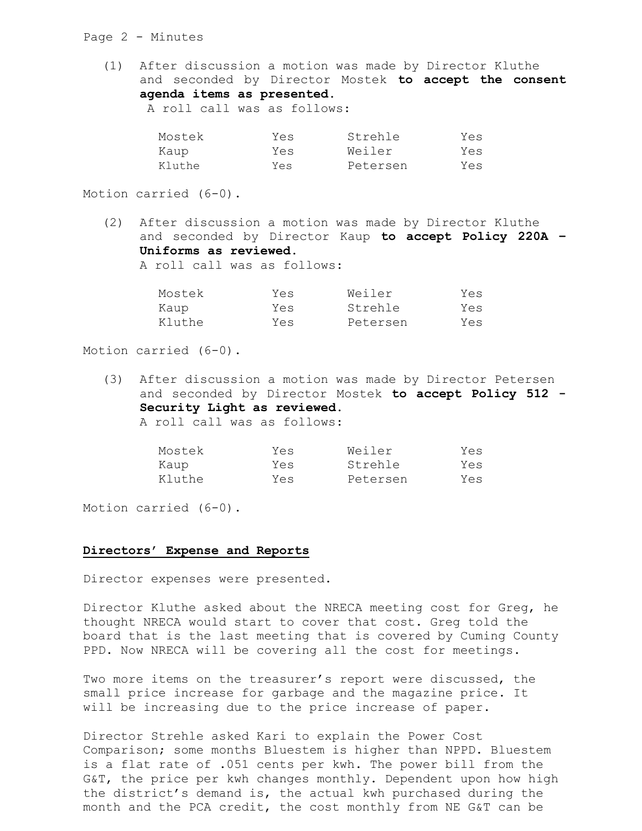### Page 2 - Minutes

(1) After discussion a motion was made by Director Kluthe and seconded by Director Mostek **to accept the consent agenda items as presented.**

| A roll call was as follows: |
|-----------------------------|
|-----------------------------|

| Mostek | Yes | Strehle  | Yes |
|--------|-----|----------|-----|
| Kaup   | Yes | Weiler   | Yes |
| Kluthe | Yes | Petersen | Yes |

Motion carried (6-0).

(2) After discussion a motion was made by Director Kluthe and seconded by Director Kaup **to accept Policy 220A – Uniforms as reviewed.**

A roll call was as follows:

| Mostek | Yes | Weiler   | Yes |
|--------|-----|----------|-----|
| Kaup   | Yes | Strehle  | Yes |
| Kluthe | Yes | Petersen | Yes |

Motion carried (6-0).

(3) After discussion a motion was made by Director Petersen and seconded by Director Mostek **to accept Policy 512 - Security Light as reviewed.**  A roll call was as follows:

| Mostek | Yes | Weiler   | Yes |
|--------|-----|----------|-----|
| Kaup   | Yes | Strehle  | Yes |
| Kluthe | Yes | Petersen | Yes |

Motion carried (6-0).

## **Directors' Expense and Reports**

Director expenses were presented.

Director Kluthe asked about the NRECA meeting cost for Greg, he thought NRECA would start to cover that cost. Greg told the board that is the last meeting that is covered by Cuming County PPD. Now NRECA will be covering all the cost for meetings.

Two more items on the treasurer's report were discussed, the small price increase for garbage and the magazine price. It will be increasing due to the price increase of paper.

Director Strehle asked Kari to explain the Power Cost Comparison; some months Bluestem is higher than NPPD. Bluestem is a flat rate of .051 cents per kwh. The power bill from the G&T, the price per kwh changes monthly. Dependent upon how high the district's demand is, the actual kwh purchased during the month and the PCA credit, the cost monthly from NE G&T can be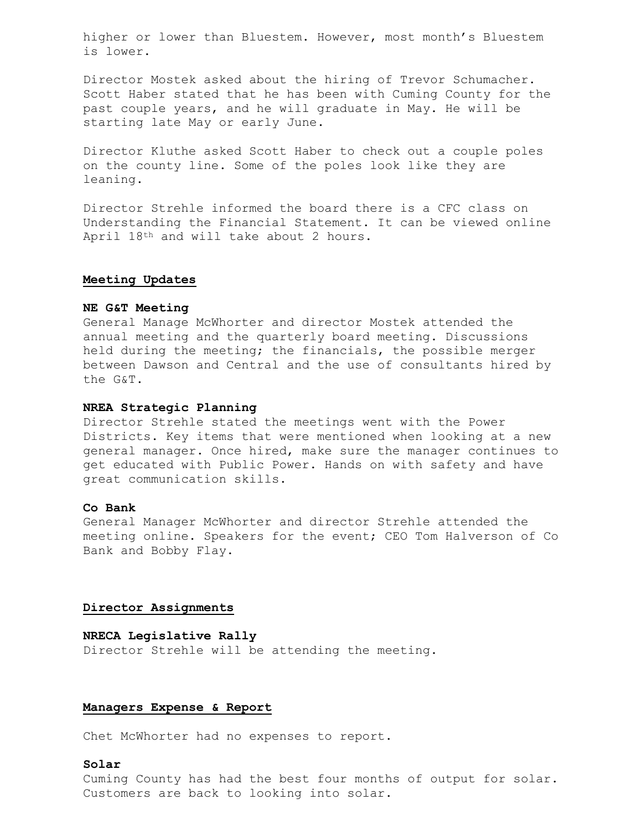higher or lower than Bluestem. However, most month's Bluestem is lower.

Director Mostek asked about the hiring of Trevor Schumacher. Scott Haber stated that he has been with Cuming County for the past couple years, and he will graduate in May. He will be starting late May or early June.

Director Kluthe asked Scott Haber to check out a couple poles on the county line. Some of the poles look like they are leaning.

Director Strehle informed the board there is a CFC class on Understanding the Financial Statement. It can be viewed online April 18th and will take about 2 hours.

### **Meeting Updates**

## **NE G&T Meeting**

General Manage McWhorter and director Mostek attended the annual meeting and the quarterly board meeting. Discussions held during the meeting; the financials, the possible merger between Dawson and Central and the use of consultants hired by the G&T.

## **NREA Strategic Planning**

Director Strehle stated the meetings went with the Power Districts. Key items that were mentioned when looking at a new general manager. Once hired, make sure the manager continues to get educated with Public Power. Hands on with safety and have great communication skills.

# **Co Bank**

General Manager McWhorter and director Strehle attended the meeting online. Speakers for the event; CEO Tom Halverson of Co Bank and Bobby Flay.

# **Director Assignments**

#### **NRECA Legislative Rally**

Director Strehle will be attending the meeting.

# **Managers Expense & Report**

Chet McWhorter had no expenses to report.

# **Solar**

Cuming County has had the best four months of output for solar. Customers are back to looking into solar.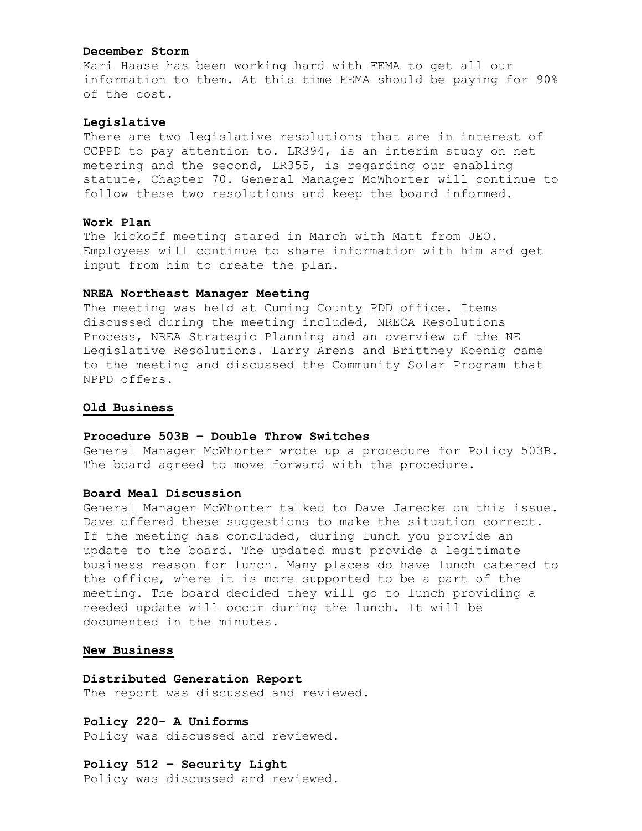### **December Storm**

Kari Haase has been working hard with FEMA to get all our information to them. At this time FEMA should be paying for 90% of the cost.

### **Legislative**

There are two legislative resolutions that are in interest of CCPPD to pay attention to. LR394, is an interim study on net metering and the second, LR355, is regarding our enabling statute, Chapter 70. General Manager McWhorter will continue to follow these two resolutions and keep the board informed.

# **Work Plan**

The kickoff meeting stared in March with Matt from JEO. Employees will continue to share information with him and get input from him to create the plan.

### **NREA Northeast Manager Meeting**

The meeting was held at Cuming County PDD office. Items discussed during the meeting included, NRECA Resolutions Process, NREA Strategic Planning and an overview of the NE Legislative Resolutions. Larry Arens and Brittney Koenig came to the meeting and discussed the Community Solar Program that NPPD offers.

## **Old Business**

### **Procedure 503B – Double Throw Switches**

General Manager McWhorter wrote up a procedure for Policy 503B. The board agreed to move forward with the procedure.

# **Board Meal Discussion**

General Manager McWhorter talked to Dave Jarecke on this issue. Dave offered these suggestions to make the situation correct. If the meeting has concluded, during lunch you provide an update to the board. The updated must provide a legitimate business reason for lunch. Many places do have lunch catered to the office, where it is more supported to be a part of the meeting. The board decided they will go to lunch providing a needed update will occur during the lunch. It will be documented in the minutes.

### **New Business**

**Distributed Generation Report** The report was discussed and reviewed.

**Policy 220- A Uniforms** Policy was discussed and reviewed.

**Policy 512 – Security Light** Policy was discussed and reviewed.